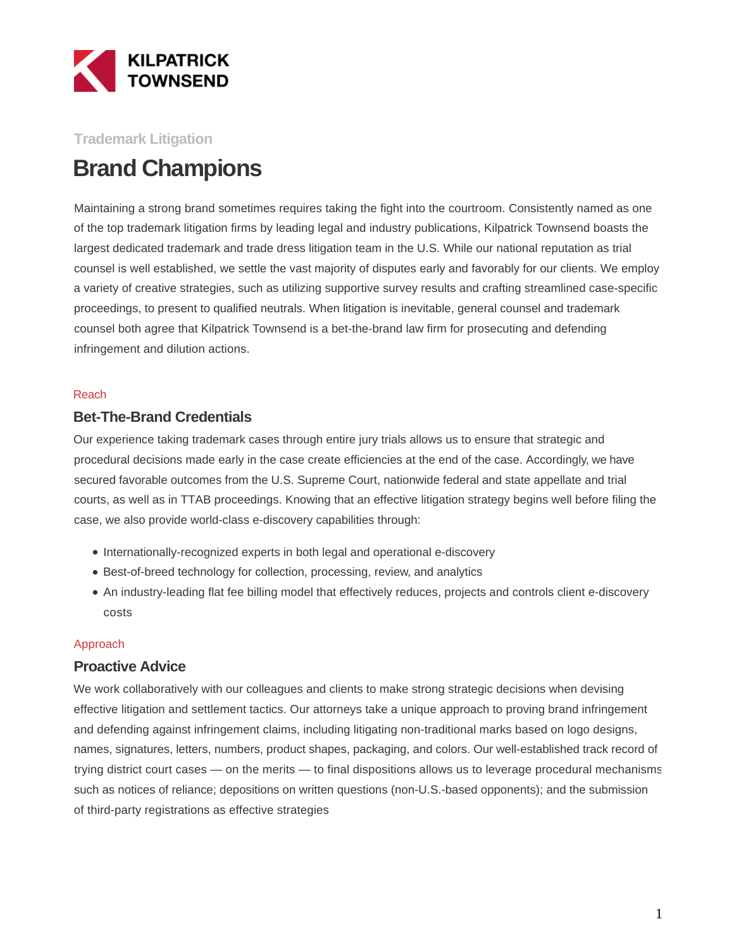

### **Trademark Litigation**

# **Brand Champions**

Maintaining a strong brand sometimes requires taking the fight into the courtroom. Consistently named as one of the top trademark litigation firms by leading legal and industry publications, Kilpatrick Townsend boasts the largest dedicated trademark and trade dress litigation team in the U.S. While our national reputation as trial counsel is well established, we settle the vast majority of disputes early and favorably for our clients. We employ a variety of creative strategies, such as utilizing supportive survey results and crafting streamlined case-specific proceedings, to present to qualified neutrals. When litigation is inevitable, general counsel and trademark counsel both agree that Kilpatrick Townsend is a bet-the-brand law firm for prosecuting and defending infringement and dilution actions.

#### Reach

#### **Bet-The-Brand Credentials**

Our experience taking trademark cases through entire jury trials allows us to ensure that strategic and procedural decisions made early in the case create efficiencies at the end of the case. Accordingly, we have secured favorable outcomes from the U.S. Supreme Court, nationwide federal and state appellate and trial courts, as well as in TTAB proceedings. Knowing that an effective litigation strategy begins well before filing the case, we also provide world-class e-discovery capabilities through:

- Internationally-recognized experts in both legal and operational e-discovery
- Best-of-breed technology for collection, processing, review, and analytics
- An industry-leading flat fee billing model that effectively reduces, projects and controls client e-discovery costs

#### Approach

#### **Proactive Advice**

We work collaboratively with our colleagues and clients to make strong strategic decisions when devising effective litigation and settlement tactics. Our attorneys take a unique approach to proving brand infringement and defending against infringement claims, including litigating non-traditional marks based on logo designs, names, signatures, letters, numbers, product shapes, packaging, and colors. Our well-established track record of trying district court cases — on the merits — to final dispositions allows us to leverage procedural mechanisms, such as notices of reliance; depositions on written questions (non-U.S.-based opponents); and the submission of third-party registrations as effective strategies